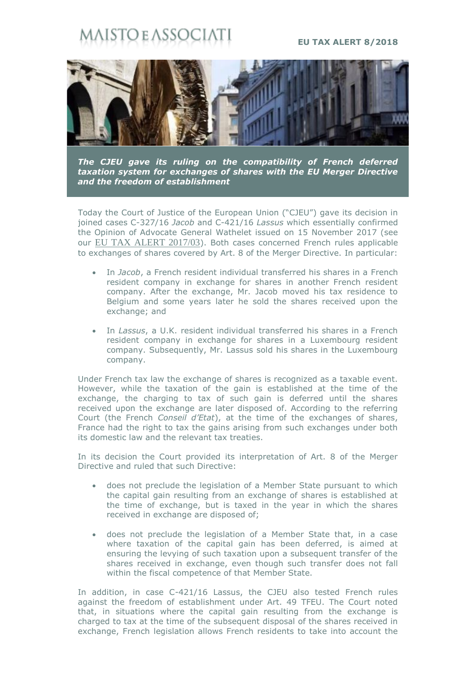## sto e assoc

## **EU TAX ALERT 8/2018**



*The CJEU gave its ruling on the compatibility of French deferred taxation system for exchanges of shares with the EU Merger Directive and the freedom of establishment*

Today the Court of Justice of the European Union ("CJEU") gave its decision in joined cases C-327/16 *Jacob* and C-421/16 *Lassus* which essentially confirmed the Opinion of Advocate General Wathelet issued on 15 November 2017 (see our [EU TAX ALERT 2017/03](https://maisto.it/en/newsletter/eu-tax-alert--25.html)). Both cases concerned French rules applicable to exchanges of shares covered by Art. 8 of the Merger Directive. In particular:

- In *Jacob*, a French resident individual transferred his shares in a French resident company in exchange for shares in another French resident company. After the exchange, Mr. Jacob moved his tax residence to Belgium and some years later he sold the shares received upon the exchange; and
- In *Lassus*, a U.K. resident individual transferred his shares in a French resident company in exchange for shares in a Luxembourg resident company. Subsequently, Mr. Lassus sold his shares in the Luxembourg company.

Under French tax law the exchange of shares is recognized as a taxable event. However, while the taxation of the gain is established at the time of the exchange, the charging to tax of such gain is deferred until the shares received upon the exchange are later disposed of. According to the referring Court (the French *Conseil d'Etat*), at the time of the exchanges of shares, France had the right to tax the gains arising from such exchanges under both its domestic law and the relevant tax treaties.

In its decision the Court provided its interpretation of Art. 8 of the Merger Directive and ruled that such Directive:

- does not preclude the legislation of a Member State pursuant to which the capital gain resulting from an exchange of shares is established at the time of exchange, but is taxed in the year in which the shares received in exchange are disposed of;
- does not preclude the legislation of a Member State that, in a case where taxation of the capital gain has been deferred, is aimed at ensuring the levying of such taxation upon a subsequent transfer of the shares received in exchange, even though such transfer does not fall within the fiscal competence of that Member State.

In addition, in case C-421/16 Lassus, the CJEU also tested French rules against the freedom of establishment under Art. 49 TFEU. The Court noted that, in situations where the capital gain resulting from the exchange is charged to tax at the time of the subsequent disposal of the shares received in exchange, French legislation allows French residents to take into account the